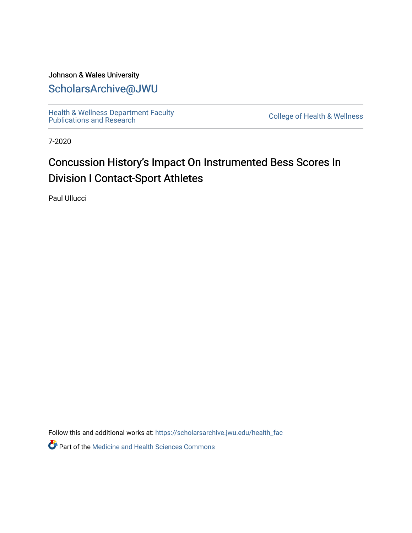## Johnson & Wales University [ScholarsArchive@JWU](https://scholarsarchive.jwu.edu/)

[Health & Wellness Department Faculty](https://scholarsarchive.jwu.edu/health_fac)  [Publications and Research](https://scholarsarchive.jwu.edu/health_fac) [College of Health & Wellness](https://scholarsarchive.jwu.edu/health_wellness) 

7-2020

# Concussion History's Impact On Instrumented Bess Scores In Division I Contact-Sport Athletes

Paul Ullucci

Follow this and additional works at: [https://scholarsarchive.jwu.edu/health\\_fac](https://scholarsarchive.jwu.edu/health_fac?utm_source=scholarsarchive.jwu.edu%2Fhealth_fac%2F72&utm_medium=PDF&utm_campaign=PDFCoverPages) 

**Part of the Medicine and Health Sciences Commons**